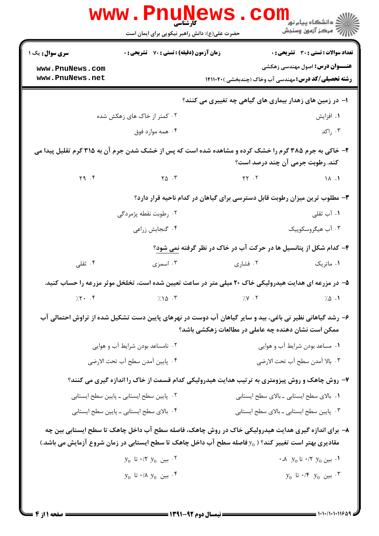|                                                                                                                                          | <b>www.Pnunews</b><br>حضرت علی(ع): دانش راهبر نیکویی برای ایمان است                                      |                                                                            | ڪ دانشڪاه پيام نور<br>ا∛ مرڪز آزمون وسنڊش    |  |
|------------------------------------------------------------------------------------------------------------------------------------------|----------------------------------------------------------------------------------------------------------|----------------------------------------------------------------------------|----------------------------------------------|--|
| <b>سری سوال :</b> یک ۱                                                                                                                   | <b>زمان آزمون (دقیقه) : تستی : 70 قشریحی : 0</b>                                                         |                                                                            | <b>تعداد سوالات : تستی : 30 - تشریحی : 0</b> |  |
| www.PnuNews.com<br>www.PnuNews.net                                                                                                       |                                                                                                          | <b>رشته تحصیلی/کد درس:</b> مهندسی آب وخاک (چندبخشی )۱۴۱۱۰۴۰                | <b>عنـــوان درس:</b> اصول مهندسی زهکشی       |  |
|                                                                                                                                          |                                                                                                          | ا– در زمین های زهدار بیماری های گیاهی چه تغییری می کنند؟                   |                                              |  |
|                                                                                                                                          | ۰۲ کمتر از خاک های زهکش شده                                                                              |                                                                            | ۰۱ افزایش                                    |  |
|                                                                                                                                          | ۰۴ همه موارد فوق                                                                                         |                                                                            | ۰۳ راکد                                      |  |
| ۲- خاکی به جرم ۳۸۵ گرم را خشک کرده و مشاهده شده است که پس از خشک شدن جرم آن به ۳۱۵ گرم تقلیل پیدا می<br>کند. رطوبت جرمی آن چند درصد است؟ |                                                                                                          |                                                                            |                                              |  |
| Y9.7                                                                                                                                     | $\mathsf{Y}\mathsf{Q}$ . $\mathsf{Y}$                                                                    | $YY \cdot Y$                                                               | $\Lambda$ .                                  |  |
|                                                                                                                                          |                                                                                                          | ۰۳ مطلوب ترین میزان رطوبت قابل دسترسی برای گیاهان در کدام ناحیه قرار دارد؟ |                                              |  |
|                                                                                                                                          | ۰۲ رطوبت نقطه پژمردگی                                                                                    |                                                                            | ۰۱ آب ثقلی                                   |  |
|                                                                                                                                          | ۰۴ گنجايش زراعي                                                                                          |                                                                            | ۰۳ آب هیگروسکوپیک                            |  |
|                                                                                                                                          |                                                                                                          | ۴- کدام شکل از پتانسیل ها در حرکت آب در خاک در نظر گرفته نمی شود؟          |                                              |  |
| ۰۴ ثقلی                                                                                                                                  | ۰۳ اسمزی                                                                                                 | ۰۲ فشاری                                                                   | ۰۱ ماتریک                                    |  |
|                                                                                                                                          | ۵– در مزرعه ای هدایت هیدرولیکی خاک ۲۰ میلی متر در ساعت تعیین شده است، تخلخل موثر مزرعه را حساب کنید.     |                                                                            |                                              |  |
| 7.5.7                                                                                                                                    | $7.10$ .                                                                                                 | 7.5                                                                        | 7.0.1                                        |  |
|                                                                                                                                          | ۶– رشد گیاهانی نظیر نی باغی، بید و سایر گیاهان آب دوست در نهرهای پایین دست تشکیل شده از تراوش احتمالی آب | ممکن است نشان دهنده چه عاملی در مطالعات زهکشی باشد؟                        |                                              |  |
|                                                                                                                                          | ۰۲ نامساعد بودن شرایط آب و هوایی                                                                         | ۰۱ مساعد بودن شرایط آب و هوایی                                             |                                              |  |
|                                                                                                                                          | ۰۴ پایین آمدن سطح آب تحت الارضی                                                                          | ٠٣ بالا آمدن سطح آب تحت الارضي                                             |                                              |  |
|                                                                                                                                          | ۷- روش چاهک و روش پیزومتری به ترتیب هدایت هیدرولیکی کدام قسمت از خاک را اندازه گیری می کنند؟             |                                                                            |                                              |  |
|                                                                                                                                          | ۰۲ پایین سطح ایستابی ــ پایین سطح ایستابی                                                                | ٠١. بالاي سطح ايستابي ـ بالاي سطح ايستابي                                  |                                              |  |
|                                                                                                                                          | ۰۴ بالای سطح ایستابی ـ پایین سطح ایستابی                                                                 |                                                                            | ۰۳ پایین سطح ایستابی ـ بالای سطح ایستابی     |  |
|                                                                                                                                          | ۸− برای اندازه گیری هدایت هیدرولیکی خاک در روش چاهک، فاصله سطح آب داخل چاهک تا سطح ایستابی بین چه        |                                                                            |                                              |  |
|                                                                                                                                          | مقادیری بهتر است تغییر کند؟ ( $y_0$ فاصله سطح آب داخل چاهک تا سطح ایستابی در زمان شروع آزمایش می باشد.)  |                                                                            |                                              |  |
|                                                                                                                                          | $y_0$ ۰/۲ بين $y_0$ ۰/۲ تا $\cdot$                                                                       |                                                                            | ۰،۸ بین $y_0$ ۲ /۲ تا $y_0$ ۸،               |  |
|                                                                                                                                          | $y_0$ ؛ بین $y_0$ ۸/۰ تا $\cdot$ ۴                                                                       |                                                                            | $y_0$ ". بين $y_0$ ۴' تا $\cdot$             |  |
|                                                                                                                                          |                                                                                                          |                                                                            |                                              |  |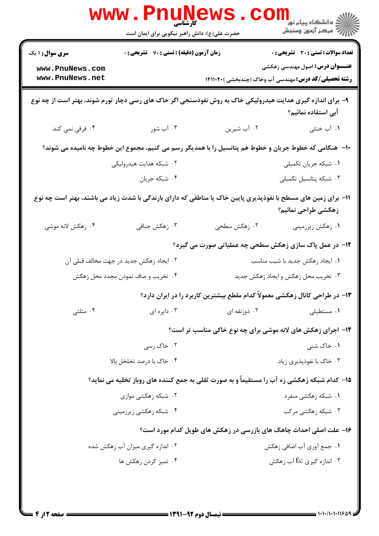|                                                                                                                                       | <b>www.rnune</b><br><b>کارشناسی</b><br>حضرت علی(ع): دانش راهبر نیکویی برای ایمان است                       |                                     | ر دانشکاه پيام نور <mark>−</mark><br>ا∛ مرکز آزمون وسنجش                                             |  |
|---------------------------------------------------------------------------------------------------------------------------------------|------------------------------------------------------------------------------------------------------------|-------------------------------------|------------------------------------------------------------------------------------------------------|--|
| <b>سری سوال : ۱ یک</b>                                                                                                                | زمان آزمون (دقیقه) : تستی : 70 ٪ تشریحی : 0                                                                |                                     | <b>تعداد سوالات : تستی : 30 ٪ تشریحی : 0</b>                                                         |  |
| www.PnuNews.com<br>www.PnuNews.net                                                                                                    |                                                                                                            |                                     | <b>عنـــوان درس:</b> اصول مهندسی زهکشی<br><b>رشته تحصیلی/کد درس:</b> مهندسی آب وخاک (چندبخشی )41114۰ |  |
|                                                                                                                                       | ۹- برای اندازه گیری هدایت هیدرولیکی خاک به روش نفوذسنجی اگر خاک های رسی دچار تورم شوند، بهتر است از چه نوع |                                     | آبی استفاده نمائیم؟                                                                                  |  |
| ۰۴ فرقی نمی کند.                                                                                                                      | ۰۳ آب شور                                                                                                  | ۲. آب شیرین                         | ۱. آب خنثی                                                                                           |  |
| ∙ا−  هنگامی که خطوط جریان و خطوط هم پتانسیل را با همدیگر رسم می کنیم، مجموع این خطوط چه نامیده می شوند؟                               |                                                                                                            |                                     |                                                                                                      |  |
|                                                                                                                                       | ۲. شبکه هدایت هیدرولیکی                                                                                    |                                     | ۰۱ شبکه جریان تکمیلی                                                                                 |  |
|                                                                                                                                       | ۰۴ شبکه جریان                                                                                              |                                     | ۰۳ شبکه پتانسیل تکمیلی                                                                               |  |
| 11– برای زمین های مسطح با نفوذپذیری پایین خاک یا مناطقی که دارای بارندگی با شدت زیاد می باشند، بهتر است چه نوع<br>زهكشى طراحى نمائيم؟ |                                                                                                            |                                     |                                                                                                      |  |
| ۰۴ زهکش لانه موشی                                                                                                                     | ۰۳ زهکش جناقی                                                                                              | ۰۲ زهکش سطحی                        | ۰۱ زهکش زیرزمینی                                                                                     |  |
|                                                                                                                                       |                                                                                                            |                                     | ۱۲- در عمل پاک سازی زهکش سطحی چه عملیاتی صورت می گیرد؟                                               |  |
|                                                                                                                                       | ۰۲ ایجاد زهکش جدید در جهت مخالف قبلی آن                                                                    |                                     | ۰۱ ایجاد زهکش جدید با شیب مناسب                                                                      |  |
| ۰۴ تخریب و صاف نمودن مجدد محل زهکش                                                                                                    |                                                                                                            | ۰۳ تخریب محل زهکش و ایجاد زهکش جدید |                                                                                                      |  |
|                                                                                                                                       |                                                                                                            |                                     | ۱۳– در طراحی کانال زهکشی معمولاً کدام مقطع بیشترین کاربرد را در ایران دارد؟                          |  |
| ۰۴ مثلثی                                                                                                                              | ۰۳ دایره ای                                                                                                | ۰۲ ذوزنقه ای                        | ۰۱ مستطیلی                                                                                           |  |
|                                                                                                                                       |                                                                                                            |                                     | ۱۴- اجرای زهکش های لانه موشی برای چه نوع خاکی مناسب تر است؟                                          |  |
|                                                                                                                                       | ۰۲ خاک رسی                                                                                                 |                                     | ۰۱ خاک شنی                                                                                           |  |
|                                                                                                                                       | ۰۴ خاک با درصد تخلخل بالا                                                                                  | ۰۳ خاک با نفوذیذیری زیاد            |                                                                                                      |  |
|                                                                                                                                       | ۱۵- کدام شبکه زهکشی زه آب را مستقیماً و به صورت ثقلی به جمع کننده های روباز تخلیه می نماید؟                |                                     |                                                                                                      |  |
|                                                                                                                                       | ۰۲ شبکه زهکشی موازی                                                                                        |                                     | ۰۱ شبکه زهکشی منفرد                                                                                  |  |
|                                                                                                                                       | ۰۴ شبکه زهکشی زیرزمینی                                                                                     |                                     | ۰۳ شبکه زهکشی مرکب                                                                                   |  |
|                                                                                                                                       |                                                                                                            |                                     | ۱۶- علت اصلی احداث چاهک های بازرسی در زهکش های طویل کدام مورد است؟                                   |  |
|                                                                                                                                       | ۰۲ اندازه گیری میزان آب زهکش شده                                                                           |                                     | ۰۱ جمع آوري آب اضافي زهكش                                                                            |  |
|                                                                                                                                       | ۰۴ تميز كردن زهكش ها                                                                                       |                                     | ۰۳ اندازه گیری Ec آب زهکش                                                                            |  |
|                                                                                                                                       |                                                                                                            |                                     |                                                                                                      |  |
|                                                                                                                                       |                                                                                                            |                                     |                                                                                                      |  |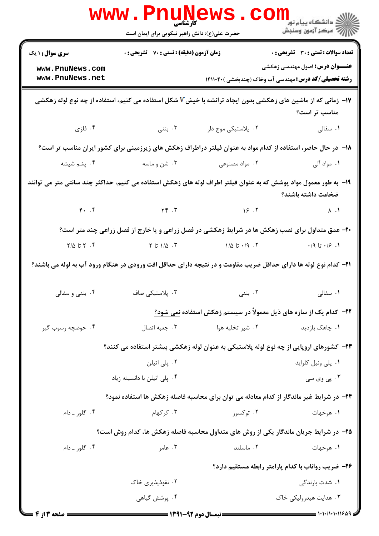|                                                                                                                                        | <b>www.PnuNews</b><br>کارشناسی<br>حضرت علی(ع): دانش راهبر نیکویی برای ایمان است |                                                                                                                                                                                                                                                                                                                                                            | الان دانشگاه پيام نور <mark>- -</mark><br>//// - مرکز آزمون وسنجش                                             |  |
|----------------------------------------------------------------------------------------------------------------------------------------|---------------------------------------------------------------------------------|------------------------------------------------------------------------------------------------------------------------------------------------------------------------------------------------------------------------------------------------------------------------------------------------------------------------------------------------------------|---------------------------------------------------------------------------------------------------------------|--|
| <b>سری سوال : ۱ یک</b>                                                                                                                 | زمان آزمون (دقیقه) : تستی : 70 گشریحی : 0                                       |                                                                                                                                                                                                                                                                                                                                                            | <b>تعداد سوالات : تستی : 30 ٪ تشریحی : 0</b>                                                                  |  |
| www.PnuNews.com<br>www.PnuNews.net                                                                                                     |                                                                                 |                                                                                                                                                                                                                                                                                                                                                            | <b>عنـــوان درس:</b> اصول مهندسی زهکشی<br><b>رشته تحصیلی/کد درس:</b> مهندسی آب وخاک (چندبخشی ) <b>۱۴۱۱۰۴۰</b> |  |
|                                                                                                                                        |                                                                                 | ۱۷− زمانی که از ماشین های زهکشی بدون ایجاد ترانشه با خیش√ شکل استفاده می کنیم، استفاده از چه نوع لوله زهکشی                                                                                                                                                                                                                                                | مناسب تر است؟                                                                                                 |  |
|                                                                                                                                        | ۰۳ بتنی میشود و میشود که است.                                                   | ۲. پلاستیکی موج دار                                                                                                                                                                                                                                                                                                                                        | <b>۱</b> . سفالی                                                                                              |  |
|                                                                                                                                        |                                                                                 | ۱۸− در حال حاضر، استفاده از کدام مواد به عنوان فیلتر دراطراف زهکش های زیرزمینی برای کشور ایران مناسب تر است؟                                                                                                                                                                                                                                               |                                                                                                               |  |
|                                                                                                                                        |                                                                                 |                                                                                                                                                                                                                                                                                                                                                            | ۰۱ مواد آل <sub>ی</sub>                                                                                       |  |
| ۱۹- به طور معمول مواد پوشش که به عنوان فیلتر اطراف لوله های زهکش استفاده می کنیم، حداکثر چند سانتی متر می توانند<br>ضخامت داشته باشند؟ |                                                                                 |                                                                                                                                                                                                                                                                                                                                                            |                                                                                                               |  |
|                                                                                                                                        |                                                                                 | $F \cdot . F$ $Y \cdot . F$ $Y \cdot . F$ $Y \cdot . F$ $Y \cdot . F$ $Y \cdot . F$ $Y \cdot . F$                                                                                                                                                                                                                                                          |                                                                                                               |  |
|                                                                                                                                        |                                                                                 | ۲۰- عمق متداول برای نصب زهکش ها در شرایط زهکشی در فصل زراعی و یا خارج از فصل زراعی چند متر است؟                                                                                                                                                                                                                                                            |                                                                                                               |  |
| ۰۴ تا ۲/۵                                                                                                                              |                                                                                 | $\mathcal{N}$ $\mathcal{N}$ $\mathcal{N}$ $\mathcal{N}$ $\mathcal{N}$ $\mathcal{N}$ $\mathcal{N}$ $\mathcal{N}$ $\mathcal{N}$ $\mathcal{N}$ $\mathcal{N}$ $\mathcal{N}$ $\mathcal{N}$ $\mathcal{N}$ $\mathcal{N}$ $\mathcal{N}$ $\mathcal{N}$ $\mathcal{N}$ $\mathcal{N}$ $\mathcal{N}$ $\mathcal{N}$ $\mathcal{N}$ $\mathcal{N}$ $\mathcal{N}$ $\mathcal$ | $\cdot$ /9 ا $\cdot$ /9 $\cdot$ /                                                                             |  |
| <b>۳۱</b> – کدام نوع لوله ها دارای حداقل ضریب مقاومت و در نتیجه دارای حداقل افت ورودی در هنگام ورود آب به لوله می باشند؟               |                                                                                 |                                                                                                                                                                                                                                                                                                                                                            |                                                                                                               |  |
|                                                                                                                                        | ۰۳ پلاستیکی صاف <b>۴۰۰ میلاد</b> و سفالی ۴۰۰ بننی و سفالی                       |                                                                                                                                                                                                                                                                                                                                                            | <b>۱</b> . سفالی مسلمان است کی تعلی                                                                           |  |
|                                                                                                                                        |                                                                                 | ۲۲– کدام یک از سازه های ذیل معمولاً در سیستم زهکش استفاده نمی شود؟                                                                                                                                                                                                                                                                                         |                                                                                                               |  |
| ۰۴ حوضچه رسوب گیر                                                                                                                      | ۰۳ جعبه اتصال                                                                   | ۰۲ شیر تخلیه هوا                                                                                                                                                                                                                                                                                                                                           | ۰۱ چاهک بازدید                                                                                                |  |
|                                                                                                                                        |                                                                                 | ۲۳– کشورهای اروپایی از چه نوع لوله پلاستیکی به عنوان لوله زهکشی بیشتر استفاده می کنند؟                                                                                                                                                                                                                                                                     |                                                                                                               |  |
|                                                                                                                                        | ۰۲ پلی اتیلن                                                                    |                                                                                                                                                                                                                                                                                                                                                            | ۰۱ پلی ونیل کلراید                                                                                            |  |
|                                                                                                                                        | ۰۴ پلی اتیلن با دانسیته زیاد                                                    |                                                                                                                                                                                                                                                                                                                                                            | ۰۳ پی وی سی                                                                                                   |  |
|                                                                                                                                        |                                                                                 | ۲۴– در شرایط غیر ماندگار از کدام معادله می توان برای محاسبه فاصله زهکش ها استفاده نمود؟                                                                                                                                                                                                                                                                    |                                                                                                               |  |
| ۰۴ گلور ـ دام                                                                                                                          | ۰۳ کرکھام                                                                       | ۰۲ توکسوز                                                                                                                                                                                                                                                                                                                                                  | ۰۱ هوخهات                                                                                                     |  |
|                                                                                                                                        |                                                                                 | ۲۵– در شرایط جریان ماندگار یکی از روش های متداول محاسبه فاصله زهکش ها، کدام روش است؟                                                                                                                                                                                                                                                                       |                                                                                                               |  |
| ۰۴ گلور ـ دام                                                                                                                          | ۰۳ عامر                                                                         | ٠٢ ماسلند                                                                                                                                                                                                                                                                                                                                                  | ۰۱ هوخهات                                                                                                     |  |
| ۲۶– ضریب رواناب با کدام پارامتر رابطه مستقیم دارد؟                                                                                     |                                                                                 |                                                                                                                                                                                                                                                                                                                                                            |                                                                                                               |  |
|                                                                                                                                        | ۰۲ نفوذپذیری خاک                                                                |                                                                                                                                                                                                                                                                                                                                                            | ۰۱ شدت بارندگ <sub>ی</sub>                                                                                    |  |
|                                                                                                                                        | ۰۴ پوشش گیاهی                                                                   |                                                                                                                                                                                                                                                                                                                                                            | ۰۳ هدایت هیدرولیکی خاک                                                                                        |  |
| <b>6 صفحه 3 از 4 =</b>                                                                                                                 |                                                                                 | = نیمسال دوم 92-1391 =                                                                                                                                                                                                                                                                                                                                     | = 1+1+/1+1+11699                                                                                              |  |